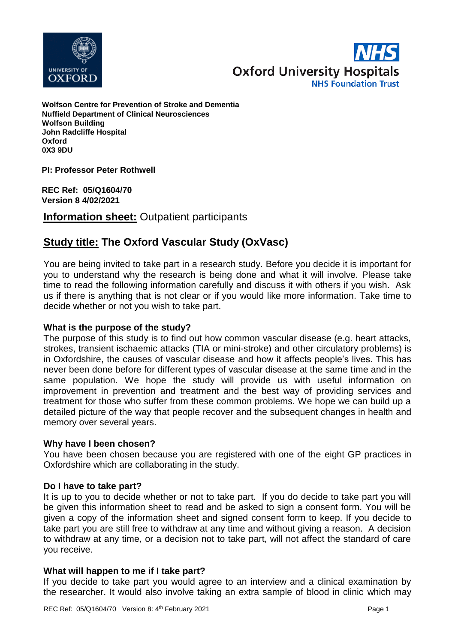



**Wolfson Centre for Prevention of Stroke and Dementia Nuffield Department of Clinical Neurosciences Wolfson Building John Radcliffe Hospital Oxford 0X3 9DU**

**PI: Professor Peter Rothwell**

**REC Ref: 05/Q1604/70 Version 8 4/02/2021**

**Information sheet:** Outpatient participants

# **Study title: The Oxford Vascular Study (OxVasc)**

You are being invited to take part in a research study. Before you decide it is important for you to understand why the research is being done and what it will involve. Please take time to read the following information carefully and discuss it with others if you wish. Ask us if there is anything that is not clear or if you would like more information. Take time to decide whether or not you wish to take part.

# **What is the purpose of the study?**

The purpose of this study is to find out how common vascular disease (e.g. heart attacks, strokes, transient ischaemic attacks (TIA or mini-stroke) and other circulatory problems) is in Oxfordshire, the causes of vascular disease and how it affects people's lives. This has never been done before for different types of vascular disease at the same time and in the same population. We hope the study will provide us with useful information on improvement in prevention and treatment and the best way of providing services and treatment for those who suffer from these common problems. We hope we can build up a detailed picture of the way that people recover and the subsequent changes in health and memory over several years.

#### **Why have I been chosen?**

You have been chosen because you are registered with one of the eight GP practices in Oxfordshire which are collaborating in the study.

#### **Do I have to take part?**

It is up to you to decide whether or not to take part. If you do decide to take part you will be given this information sheet to read and be asked to sign a consent form. You will be given a copy of the information sheet and signed consent form to keep. If you decide to take part you are still free to withdraw at any time and without giving a reason. A decision to withdraw at any time, or a decision not to take part, will not affect the standard of care you receive.

# **What will happen to me if I take part?**

If you decide to take part you would agree to an interview and a clinical examination by the researcher. It would also involve taking an extra sample of blood in clinic which may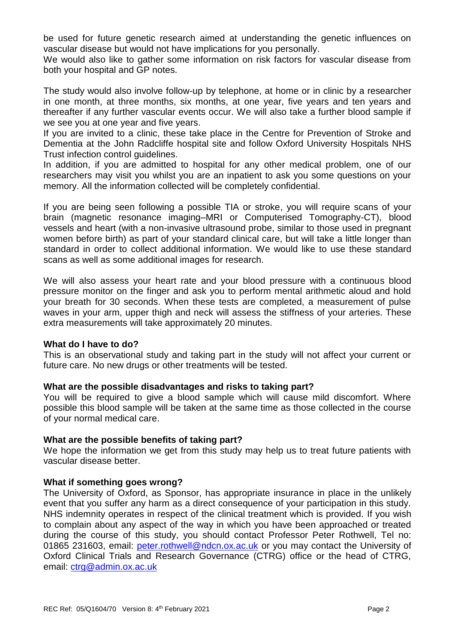be used for future genetic research aimed at understanding the genetic influences on vascular disease but would not have implications for you personally.

We would also like to gather some information on risk factors for vascular disease from both your hospital and GP notes.

The study would also involve follow-up by telephone, at home or in clinic by a researcher in one month, at three months, six months, at one year, five years and ten years and thereafter if any further vascular events occur. We will also take a further blood sample if we see you at one year and five years.

If you are invited to a clinic, these take place in the Centre for Prevention of Stroke and Dementia at the John Radcliffe hospital site and follow Oxford University Hospitals NHS Trust infection control guidelines.

In addition, if you are admitted to hospital for any other medical problem, one of our researchers may visit you whilst you are an inpatient to ask you some questions on your memory. All the information collected will be completely confidential.

If you are being seen following a possible TIA or stroke, you will require scans of your brain (magnetic resonance imaging–MRI or Computerised Tomography-CT), blood vessels and heart (with a non-invasive ultrasound probe, similar to those used in pregnant women before birth) as part of your standard clinical care, but will take a little longer than standard in order to collect additional information. We would like to use these standard scans as well as some additional images for research.

We will also assess your heart rate and your blood pressure with a continuous blood pressure monitor on the finger and ask you to perform mental arithmetic aloud and hold your breath for 30 seconds. When these tests are completed, a measurement of pulse waves in your arm, upper thigh and neck will assess the stiffness of your arteries. These extra measurements will take approximately 20 minutes.

#### **What do I have to do?**

This is an observational study and taking part in the study will not affect your current or future care. No new drugs or other treatments will be tested.

# **What are the possible disadvantages and risks to taking part?**

You will be required to give a blood sample which will cause mild discomfort. Where possible this blood sample will be taken at the same time as those collected in the course of your normal medical care.

# **What are the possible benefits of taking part?**

We hope the information we get from this study may help us to treat future patients with vascular disease better.

# **What if something goes wrong?**

The University of Oxford, as Sponsor, has appropriate insurance in place in the unlikely event that you suffer any harm as a direct consequence of your participation in this study. NHS indemnity operates in respect of the clinical treatment which is provided. If you wish to complain about any aspect of the way in which you have been approached or treated during the course of this study, you should contact Professor Peter Rothwell, Tel no: 01865 231603, email: [peter.rothwell@ndcn.ox.ac.uk](mailto:peter.rothwell@ndcn.ox.ac.uk) or you may contact the University of Oxford Clinical Trials and Research Governance (CTRG) office or the head of CTRG, email: [ctrg@admin.ox.ac.uk](mailto:ctrg@admin.ox.ac.uk)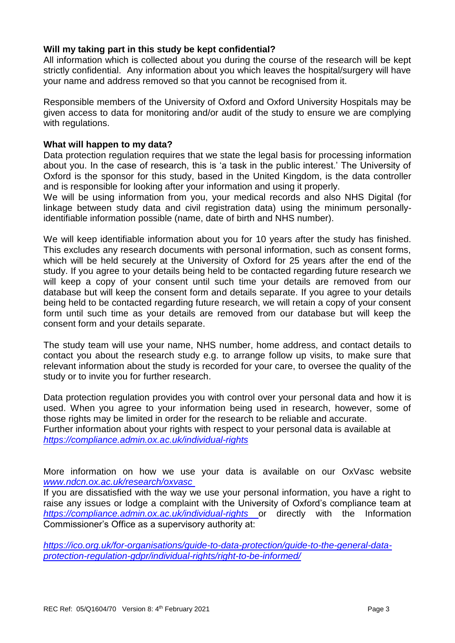# **Will my taking part in this study be kept confidential?**

All information which is collected about you during the course of the research will be kept strictly confidential. Any information about you which leaves the hospital/surgery will have your name and address removed so that you cannot be recognised from it.

Responsible members of the University of Oxford and Oxford University Hospitals may be given access to data for monitoring and/or audit of the study to ensure we are complying with regulations.

#### **What will happen to my data?**

Data protection regulation requires that we state the legal basis for processing information about you. In the case of research, this is 'a task in the public interest.' The University of Oxford is the sponsor for this study, based in the United Kingdom, is the data controller and is responsible for looking after your information and using it properly.

We will be using information from you, your medical records and also NHS Digital (for linkage between study data and civil registration data) using the minimum personallyidentifiable information possible (name, date of birth and NHS number).

We will keep identifiable information about you for 10 years *a*fter the study has finished. This excludes any research documents with personal information, such as consent forms, which will be held securely at the University of Oxford for 25 years after the end of the study. If you agree to your details being held to be contacted regarding future research we will keep a copy of your consent until such time your details are removed from our database but will keep the consent form and details separate. If you agree to your details being held to be contacted regarding future research, we will retain a copy of your consent form until such time as your details are removed from our database but will keep the consent form and your details separate.

The study team will use your name, NHS number, home address, and contact details to contact you about the research study e.g. to arrange follow up visits, to make sure that relevant information about the study is recorded for your care, to oversee the quality of the study or to invite you for further research.

Data protection regulation provides you with control over your personal data and how it is used. When you agree to your information being used in research, however, some of those rights may be limited in order for the research to be reliable and accurate. Further information about your rights with respect to your personal data is available at *<https://compliance.admin.ox.ac.uk/individual-rights>*

More information on how we use your data is available on our OxVasc website *[www.ndcn.ox.ac.uk/research/oxvasc](../AppData/Local/Packages/Microsoft.MicrosoftEdge_8wekyb3d8bbwe/TempState/Downloads/www.ndcn.ox.ac.uk/research/oxvasc )*

If you are dissatisfied with the way we use your personal information, you have a right to raise any issues or lodge a complaint with the University of Oxford's compliance team at *<https://compliance.admin.ox.ac.uk/individual-rights>* or directly with the Information Commissioner's Office as a supervisory authority at:

*[https://ico.org.uk/for-organisations/guide-to-data-protection/guide-to-the-general-data](https://ico.org.uk/for-organisations/guide-to-data-protection/guide-to-the-general-data-protection-regulation-gdpr/individual-rights/right-to-be-informed/)[protection-regulation-gdpr/individual-rights/right-to-be-informed/](https://ico.org.uk/for-organisations/guide-to-data-protection/guide-to-the-general-data-protection-regulation-gdpr/individual-rights/right-to-be-informed/)*